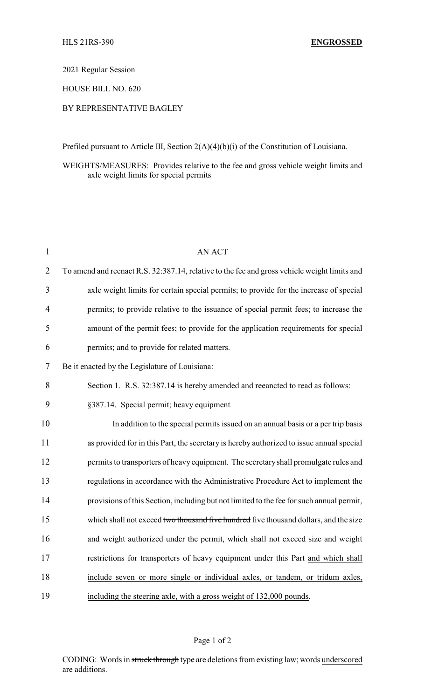2021 Regular Session

HOUSE BILL NO. 620

## BY REPRESENTATIVE BAGLEY

Prefiled pursuant to Article III, Section 2(A)(4)(b)(i) of the Constitution of Louisiana.

## WEIGHTS/MEASURES: Provides relative to the fee and gross vehicle weight limits and axle weight limits for special permits

| $\mathbf{1}$   | <b>AN ACT</b>                                                                                |
|----------------|----------------------------------------------------------------------------------------------|
| $\overline{2}$ | To amend and reenact R.S. 32:387.14, relative to the fee and gross vehicle weight limits and |
| 3              | axle weight limits for certain special permits; to provide for the increase of special       |
| $\overline{4}$ | permits; to provide relative to the issuance of special permit fees; to increase the         |
| 5              | amount of the permit fees; to provide for the application requirements for special           |
| 6              | permits; and to provide for related matters.                                                 |
| 7              | Be it enacted by the Legislature of Louisiana:                                               |
| 8              | Section 1. R.S. 32:387.14 is hereby amended and reeancted to read as follows:                |
| 9              | §387.14. Special permit; heavy equipment                                                     |
| 10             | In addition to the special permits issued on an annual basis or a per trip basis             |
| 11             | as provided for in this Part, the secretary is hereby authorized to issue annual special     |
| 12             | permits to transporters of heavy equipment. The secretary shall promulgate rules and         |
| 13             | regulations in accordance with the Administrative Procedure Act to implement the             |
| 14             | provisions of this Section, including but not limited to the fee for such annual permit,     |
| 15             | which shall not exceed two thousand five hundred five thousand dollars, and the size         |
| 16             | and weight authorized under the permit, which shall not exceed size and weight               |
| 17             | restrictions for transporters of heavy equipment under this Part and which shall             |
| 18             | include seven or more single or individual axles, or tandem, or tridum axles,                |
| 19             | including the steering axle, with a gross weight of 132,000 pounds.                          |

Page 1 of 2